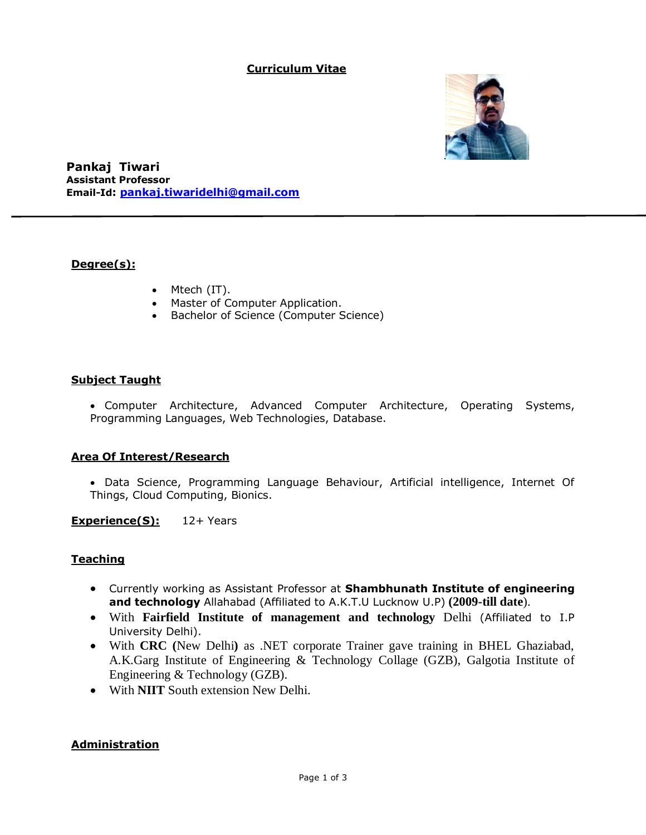### **Curriculum Vitae**



**Pankaj Tiwari Assistant Professor Email-Id: [pankaj.tiwaridelhi@gmail.com](mailto:pankaj.tiwaridelhi@gmail.com)**

### **Degree(s):**

- Mtech (IT).
- Master of Computer Application.
- **•** Bachelor of Science (Computer Science)

#### **Subject Taught**

 Computer Architecture, Advanced Computer Architecture, Operating Systems, Programming Languages, Web Technologies, Database.

#### **Area Of Interest/Research**

 Data Science, Programming Language Behaviour, Artificial intelligence, Internet Of Things, Cloud Computing, Bionics.

**Experience(S):** 12+ Years

### **Teaching**

- Currently working as Assistant Professor at **Shambhunath Institute of engineering and technology** Allahabad (Affiliated to A.K.T.U Lucknow U.P) **(2009-till date**).
- With **Fairfield Institute of management and technology** Delhi (Affiliated to I.P University Delhi).
- With **CRC (**New Delhi**)** as .NET corporate Trainer gave training in BHEL Ghaziabad, A.K.Garg Institute of Engineering & Technology Collage (GZB), Galgotia Institute of Engineering & Technology (GZB).
- With **NIIT** South extension New Delhi.

#### **Administration**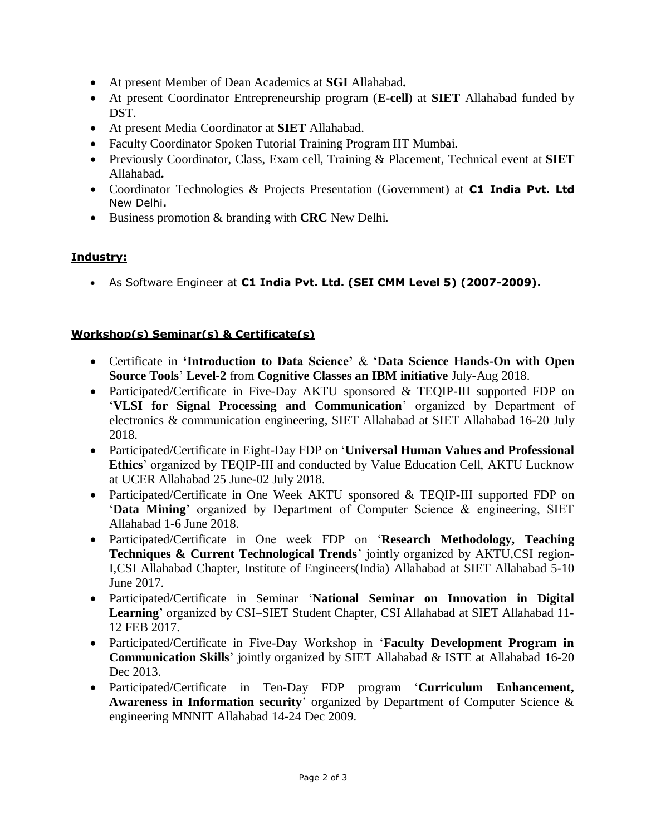- At present Member of Dean Academics at **SGI** Allahabad**.**
- At present Coordinator Entrepreneurship program (**E-cell**) at **SIET** Allahabad funded by DST.
- At present Media Coordinator at **SIET** Allahabad.
- Faculty Coordinator Spoken Tutorial Training Program IIT Mumbai.
- Previously Coordinator, Class, Exam cell, Training & Placement, Technical event at **SIET** Allahabad**.**
- Coordinator Technologies & Projects Presentation (Government) at **C1 India Pvt. Ltd** New Delhi**.**
- Business promotion & branding with **CRC** New Delhi.

## **Industry:**

As Software Engineer at **C1 India Pvt. Ltd. (SEI CMM Level 5) (2007-2009).**

# **Workshop(s) Seminar(s) & Certificate(s)**

- Certificate in **'Introduction to Data Science'** & '**Data Science Hands-On with Open Source Tools**' **Level-2** from **Cognitive Classes an IBM initiative** July**-**Aug 2018.
- Participated/Certificate in Five-Day AKTU sponsored & TEQIP-III supported FDP on '**VLSI for Signal Processing and Communication**' organized by Department of electronics & communication engineering, SIET Allahabad at SIET Allahabad 16-20 July 2018.
- Participated/Certificate in Eight-Day FDP on '**Universal Human Values and Professional Ethics**' organized by TEQIP-III and conducted by Value Education Cell, AKTU Lucknow at UCER Allahabad 25 June-02 July 2018.
- Participated/Certificate in One Week AKTU sponsored & TEQIP-III supported FDP on '**Data Mining**' organized by Department of Computer Science & engineering, SIET Allahabad 1-6 June 2018.
- Participated/Certificate in One week FDP on '**Research Methodology, Teaching Techniques & Current Technological Trends**' jointly organized by AKTU,CSI region-I,CSI Allahabad Chapter, Institute of Engineers(India) Allahabad at SIET Allahabad 5-10 June 2017.
- Participated/Certificate in Seminar '**National Seminar on Innovation in Digital Learning**' organized by CSI–SIET Student Chapter, CSI Allahabad at SIET Allahabad 11- 12 FEB 2017.
- Participated/Certificate in Five-Day Workshop in '**Faculty Development Program in Communication Skills**' jointly organized by SIET Allahabad & ISTE at Allahabad 16-20 Dec 2013.
- Participated/Certificate in Ten-Day FDP program '**Curriculum Enhancement, Awareness in Information security**' organized by Department of Computer Science & engineering MNNIT Allahabad 14-24 Dec 2009.